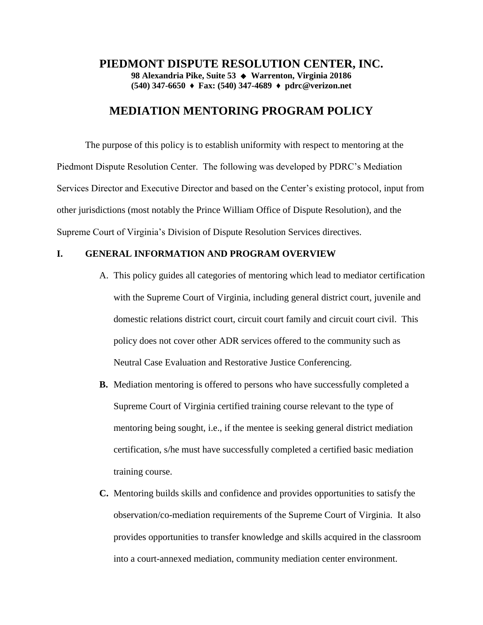### **PIEDMONT DISPUTE RESOLUTION CENTER, INC. 98 Alexandria Pike, Suite 53 Warrenton, Virginia 20186 (540) 347-6650 ♦ Fax: (540) 347-4689 ♦ pdrc@verizon.net**

# **MEDIATION MENTORING PROGRAM POLICY**

The purpose of this policy is to establish uniformity with respect to mentoring at the Piedmont Dispute Resolution Center. The following was developed by PDRC's Mediation Services Director and Executive Director and based on the Center's existing protocol, input from other jurisdictions (most notably the Prince William Office of Dispute Resolution), and the Supreme Court of Virginia's Division of Dispute Resolution Services directives.

# **I. GENERAL INFORMATION AND PROGRAM OVERVIEW**

- A. This policy guides all categories of mentoring which lead to mediator certification with the Supreme Court of Virginia, including general district court, juvenile and domestic relations district court, circuit court family and circuit court civil. This policy does not cover other ADR services offered to the community such as Neutral Case Evaluation and Restorative Justice Conferencing.
- **B.** Mediation mentoring is offered to persons who have successfully completed a Supreme Court of Virginia certified training course relevant to the type of mentoring being sought, i.e., if the mentee is seeking general district mediation certification, s/he must have successfully completed a certified basic mediation training course.
- **C.** Mentoring builds skills and confidence and provides opportunities to satisfy the observation/co-mediation requirements of the Supreme Court of Virginia. It also provides opportunities to transfer knowledge and skills acquired in the classroom into a court-annexed mediation, community mediation center environment.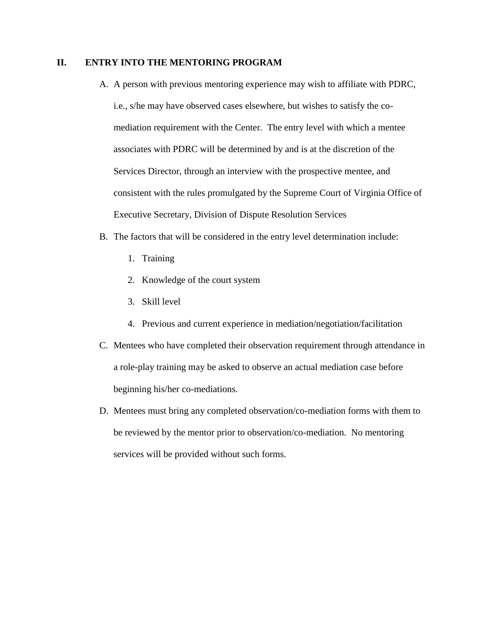### **II. ENTRY INTO THE MENTORING PROGRAM**

- A. A person with previous mentoring experience may wish to affiliate with PDRC, i.e., s/he may have observed cases elsewhere, but wishes to satisfy the comediation requirement with the Center. The entry level with which a mentee associates with PDRC will be determined by and is at the discretion of the Services Director, through an interview with the prospective mentee, and consistent with the rules promulgated by the Supreme Court of Virginia Office of Executive Secretary, Division of Dispute Resolution Services
- B. The factors that will be considered in the entry level determination include:
	- 1. Training
	- 2. Knowledge of the court system
	- 3. Skill level
	- 4. Previous and current experience in mediation/negotiation/facilitation
- C. Mentees who have completed their observation requirement through attendance in a role-play training may be asked to observe an actual mediation case before beginning his/her co-mediations.
- D. Mentees must bring any completed observation/co-mediation forms with them to be reviewed by the mentor prior to observation/co-mediation. No mentoring services will be provided without such forms.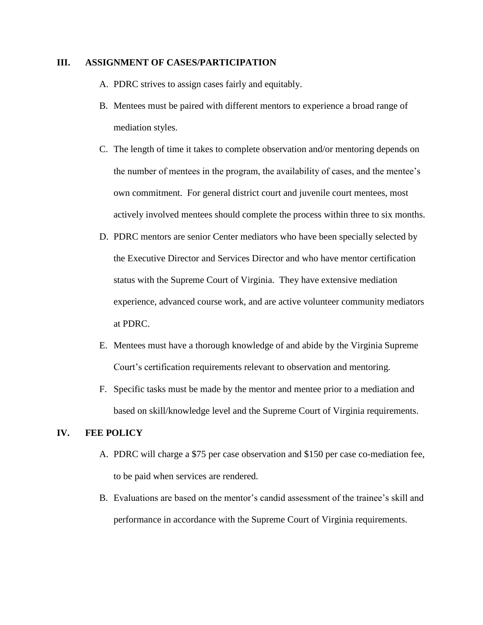#### **III. ASSIGNMENT OF CASES/PARTICIPATION**

- A. PDRC strives to assign cases fairly and equitably.
- B. Mentees must be paired with different mentors to experience a broad range of mediation styles.
- C. The length of time it takes to complete observation and/or mentoring depends on the number of mentees in the program, the availability of cases, and the mentee's own commitment. For general district court and juvenile court mentees, most actively involved mentees should complete the process within three to six months.
- D. PDRC mentors are senior Center mediators who have been specially selected by the Executive Director and Services Director and who have mentor certification status with the Supreme Court of Virginia. They have extensive mediation experience, advanced course work, and are active volunteer community mediators at PDRC.
- E. Mentees must have a thorough knowledge of and abide by the Virginia Supreme Court's certification requirements relevant to observation and mentoring.
- F. Specific tasks must be made by the mentor and mentee prior to a mediation and based on skill/knowledge level and the Supreme Court of Virginia requirements.

#### **IV. FEE POLICY**

- A. PDRC will charge a \$75 per case observation and \$150 per case co-mediation fee, to be paid when services are rendered.
- B. Evaluations are based on the mentor's candid assessment of the trainee's skill and performance in accordance with the Supreme Court of Virginia requirements.